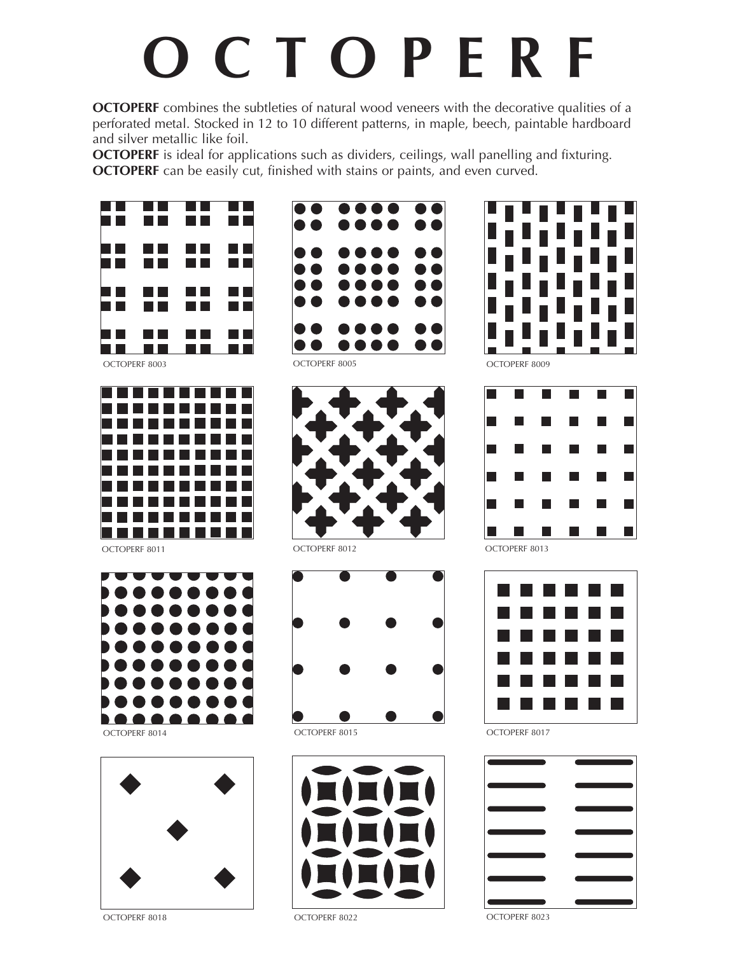## **O C T O P E R F**

**OCTOPERF** combines the subtleties of natural wood veneers with the decorative qualities of a perforated metal. Stocked in 12 to 10 different patterns, in maple, beech, paintable hardboard and silver metallic like foil.

**OCTOPERF** is ideal for applications such as dividers, ceilings, wall panelling and fixturing. **OCTOPERF** can be easily cut, finished with stains or paints, and even curved.



OCTOPERF 8003 OCTOPERF 8005



Octoperf 8011



OCTOPERF 8014



OCTOPERF 8018









OCTOPERF 8009





OCTOPERF 8017



OCTOPERF 8023